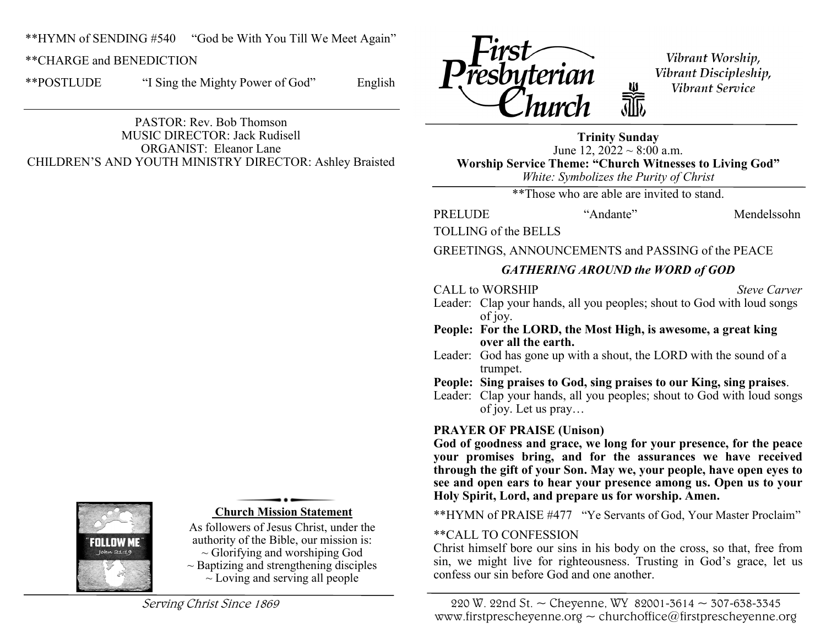\*\*HYMN of SENDING #540 "God be With You Till We Meet Again"

\*\*CHARGE and BENEDICTION

\*\*POSTLUDE "I Sing the Mighty Power of God" English

PASTOR: Rev. Bob Thomson MUSIC DIRECTOR: Jack Rudisell ORGANIST: Eleanor Lane CHILDREN'S AND YOUTH MINISTRY DIRECTOR: Ashley Braisted



Vibrant Worship, Vibrant Discipleship, Vibrant Service

**Trinity Sunday** June 12,  $2022 \sim 8:00$  a.m. **Worship Service Theme: "Church Witnesses to Living God"** *White: Symbolizes the Purity of Christ*

\*\*Those who are able are invited to stand.

PRELUDE "Andante" Mendelssohn

TOLLING of the BELLS

GREETINGS, ANNOUNCEMENTS and PASSING of the PEACE

# *GATHERING AROUND the WORD of GOD*

CALL to WORSHIP *Steve Carver*

- Leader: Clap your hands, all you peoples; shout to God with loud songs of joy.
- **People: For the LORD, the Most High, is awesome, a great king over all the earth.**
- Leader: God has gone up with a shout, the LORD with the sound of a trumpet.
- **People: Sing praises to God, sing praises to our King, sing praises**.

Leader: Clap your hands, all you peoples; shout to God with loud songs of joy. Let us pray…

# **PRAYER OF PRAISE (Unison)**

**God of goodness and grace, we long for your presence, for the peace your promises bring, and for the assurances we have received through the gift of your Son. May we, your people, have open eyes to see and open ears to hear your presence among us. Open us to your Holy Spirit, Lord, and prepare us for worship. Amen.**

\*\*HYMN of PRAISE #477 "Ye Servants of God, Your Master Proclaim"

# \*\*CALL TO CONFESSION

Christ himself bore our sins in his body on the cross, so that, free from sin, we might live for righteousness. Trusting in God's grace, let us confess our sin before God and one another.



#### **Church Mission Statement**

As followers of Jesus Christ, under the authority of the Bible, our mission is:  $\sim$  Glorifying and worshiping God

 $\sim$  Baptizing and strengthening disciples  $\sim$  Loving and serving all people

Serving Christ Since 1869